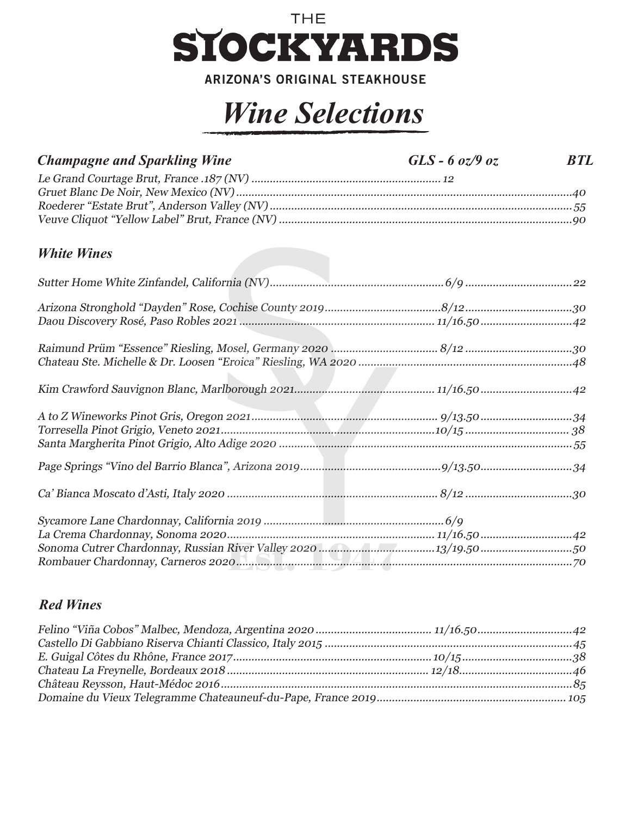

**ARIZONA'S ORIGINAL STEAKHOUSE** 

## *Wine Selections*

| <b>Champagne and Sparkling Wine</b>                                                                                                                                                                                                     | $GLS - 6$ oz/9 oz | <b>BTL</b> |
|-----------------------------------------------------------------------------------------------------------------------------------------------------------------------------------------------------------------------------------------|-------------------|------------|
|                                                                                                                                                                                                                                         |                   |            |
|                                                                                                                                                                                                                                         |                   |            |
|                                                                                                                                                                                                                                         |                   |            |
|                                                                                                                                                                                                                                         |                   |            |
| <b>White Wines</b>                                                                                                                                                                                                                      |                   |            |
|                                                                                                                                                                                                                                         |                   |            |
|                                                                                                                                                                                                                                         |                   |            |
|                                                                                                                                                                                                                                         |                   |            |
|                                                                                                                                                                                                                                         |                   |            |
|                                                                                                                                                                                                                                         |                   |            |
|                                                                                                                                                                                                                                         |                   |            |
|                                                                                                                                                                                                                                         |                   |            |
| $\textit{Torresella Pinot Grigio, Veneto 2021} \label{eq:corresella} \textit{Pinot Grigio, Veneto 2021} \textit{} \textit{} \textit{} \textit{} \textit{} \textit{} \textit{} \textit{10/15} \textit{} \textit{} \textit{} \textit{38}$ |                   |            |
|                                                                                                                                                                                                                                         |                   |            |
|                                                                                                                                                                                                                                         |                   |            |
|                                                                                                                                                                                                                                         |                   |            |
|                                                                                                                                                                                                                                         |                   |            |
|                                                                                                                                                                                                                                         |                   |            |
|                                                                                                                                                                                                                                         |                   |            |
|                                                                                                                                                                                                                                         |                   |            |

## *Red Wines*